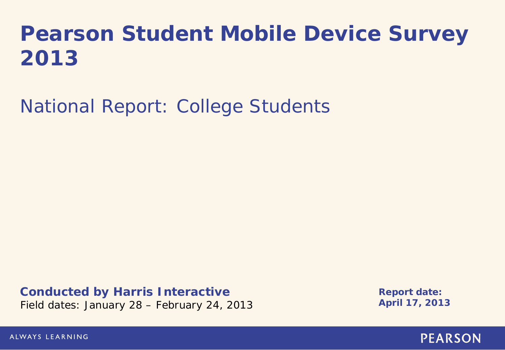# **Pearson Student Mobile Device Survey 2013**

National Report: College Students

**Conducted by Harris Interactive** Field dates: January 28 – February 24, 2013

**Report date: April 17, 2013**

ALWAYS LEARNING

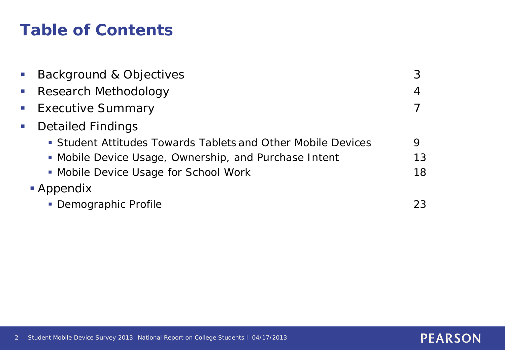## **Table of Contents**

|                             | <b>Background &amp; Objectives</b>                           |    |  |  |
|-----------------------------|--------------------------------------------------------------|----|--|--|
|                             | • Research Methodology                                       | 4  |  |  |
|                             | <b>Executive Summary</b>                                     |    |  |  |
| $\mathcal{L}_{\mathcal{A}}$ | <b>Detailed Findings</b>                                     |    |  |  |
|                             | • Student Attitudes Towards Tablets and Other Mobile Devices | 9  |  |  |
|                             | • Mobile Device Usage, Ownership, and Purchase Intent        | 13 |  |  |
|                             | • Mobile Device Usage for School Work                        | 18 |  |  |
| • Appendix                  |                                                              |    |  |  |
|                             | • Demographic Profile                                        | 23 |  |  |
|                             |                                                              |    |  |  |

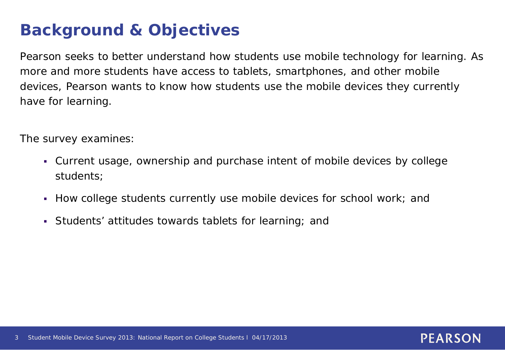## **Background & Objectives**

Pearson seeks to better understand how students use mobile technology for learning. As more and more students have access to tablets, smartphones, and other mobile devices, Pearson wants to know how students use the mobile devices they currently have for learning.

The survey examines:

 Current usage, ownership and purchase intent of mobile devices by college students;

- How college students currently use mobile devices for school work; and
- Students' attitudes towards tablets for learning; and

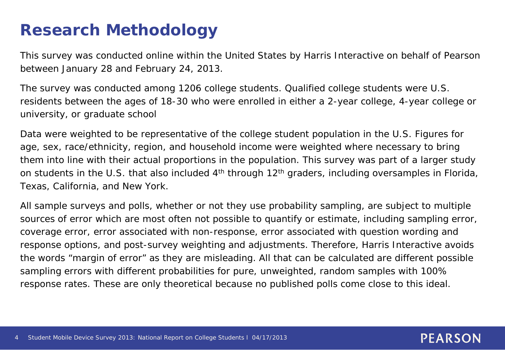### **Research Methodology**

This survey was conducted online within the United States by Harris Interactive on behalf of Pearson between January 28 and February 24, 2013.

The survey was conducted among 1206 college students. Qualified college students were U.S. residents between the ages of 18-30 who were enrolled in either a 2-year college, 4-year college or university, or graduate school

Data were weighted to be representative of the college student population in the U.S. Figures for age, sex, race/ethnicity, region, and household income were weighted where necessary to bring them into line with their actual proportions in the population. This survey was part of a larger study on students in the U.S. that also included 4<sup>th</sup> through 12<sup>th</sup> graders, including oversamples in Florida, Texas, California, and New York.

All sample surveys and polls, whether or not they use probability sampling, are subject to multiple sources of error which are most often not possible to quantify or estimate, including sampling error, coverage error, error associated with non-response, error associated with question wording and response options, and post-survey weighting and adjustments. Therefore, Harris Interactive avoids the words "margin of error" as they are misleading. All that can be calculated are different possible sampling errors with different probabilities for pure, unweighted, random samples with 100% response rates. These are only theoretical because no published polls come close to this ideal.

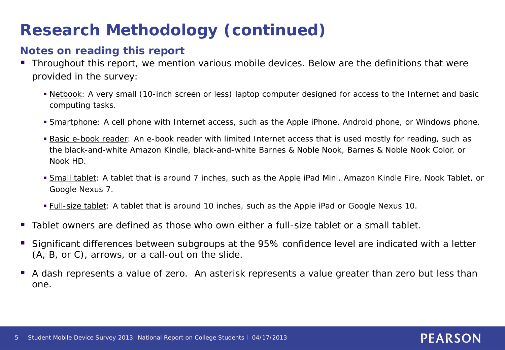## **Research Methodology (continued)**

#### **Notes on reading this report**

- Throughout this report, we mention various mobile devices. Below are the definitions that were provided in the survey:
	- Netbook: A very small (10-inch screen or less) laptop computer designed for access to the Internet and basic computing tasks.
	- **Smartphone:** A cell phone with Internet access, such as the Apple iPhone, Android phone, or Windows phone.
	- **Basic e-book reader:** An e-book reader with limited Internet access that is used mostly for reading, such as the black-and-white Amazon Kindle, black-and-white Barnes & Noble Nook, Barnes & Noble Nook Color, or Nook HD.
	- Small tablet: A tablet that is around 7 inches, such as the Apple iPad Mini, Amazon Kindle Fire, Nook Tablet, or Google Nexus 7.
	- **Full-size tablet:** A tablet that is around 10 inches, such as the Apple iPad or Google Nexus 10.
- Tablet owners are defined as those who own either a full-size tablet or a small tablet.
- Significant differences between subgroups at the 95% confidence level are indicated with a letter (A, B, or C), arrows, or a call-out on the slide.
- A dash represents a value of zero. An asterisk represents a value greater than zero but less than one.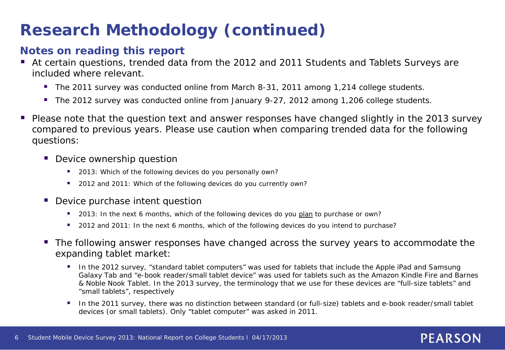## **Research Methodology (continued)**

#### **Notes on reading this report**

- At certain questions, trended data from the 2012 and 2011 Students and Tablets Surveys are included where relevant.
	- The 2011 survey was conducted online from March 8-31, 2011 among 1,214 college students.
	- The 2012 survey was conducted online from January 9-27, 2012 among 1,206 college students.
- Please note that the question text and answer responses have changed slightly in the 2013 survey compared to previous years. Please use caution when comparing trended data for the following questions:
	- **Device ownership question** 
		- 2013: Which of the following devices do you personally own?
		- **2012 and 2011: Which of the following devices do you currently own?**
	- **Device purchase intent question** 
		- 2013: In the next 6 months, which of the following devices do you plan to purchase or own?
		- **2012** and 2011: In the next 6 months, which of the following devices do you intend to purchase?
	- **The following answer responses have changed across the survey years to accommodate the** expanding tablet market:
		- In the 2012 survey, "standard tablet computers" was used for tablets that include the Apple iPad and Samsung Galaxy Tab and "e-book reader/small tablet device" was used for tablets such as the Amazon Kindle Fire and Barnes & Noble Nook Tablet. In the 2013 survey, the terminology that we use for these devices are "full-size tablets" and "small tablets", respectively
		- In the 2011 survey, there was no distinction between standard (or full-size) tablets and e-book reader/small tablet devices (or small tablets). Only "tablet computer" was asked in 2011.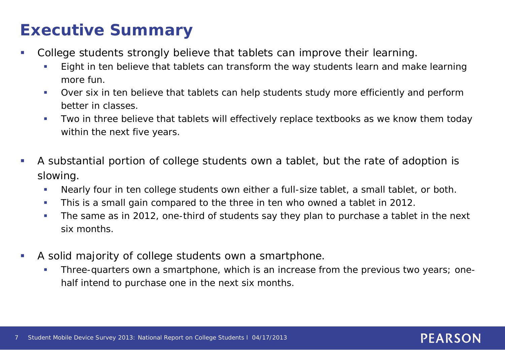## **Executive Summary**

- College students strongly believe that tablets can improve their learning.
	- **Eight in ten believe that tablets can transform the way students learn and make learning** more fun.
	- Over six in ten believe that tablets can help students study more efficiently and perform better in classes.
	- Two in three believe that tablets will effectively replace textbooks as we know them today within the next five years.
- A substantial portion of college students own a tablet, but the rate of adoption is slowing.
	- Nearly four in ten college students own either a full-size tablet, a small tablet, or both.
	- This is a small gain compared to the three in ten who owned a tablet in 2012.
	- The same as in 2012, one-third of students say they plan to purchase a tablet in the next six months.
- A solid majority of college students own a smartphone.
	- **Three-quarters own a smartphone, which is an increase from the previous two years; one**half intend to purchase one in the next six months.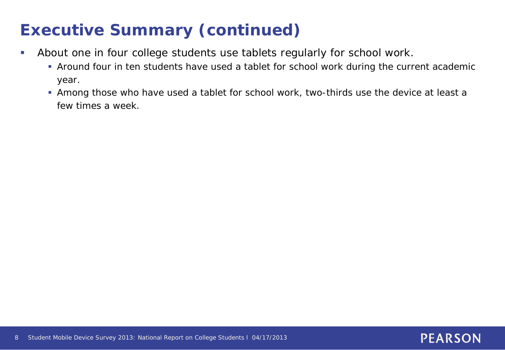## **Executive Summary (continued)**

- About one in four college students use tablets regularly for school work.
	- Around four in ten students have used a tablet for school work during the current academic year.
	- Among those who have used a tablet for school work, two-thirds use the device at least a few times a week.

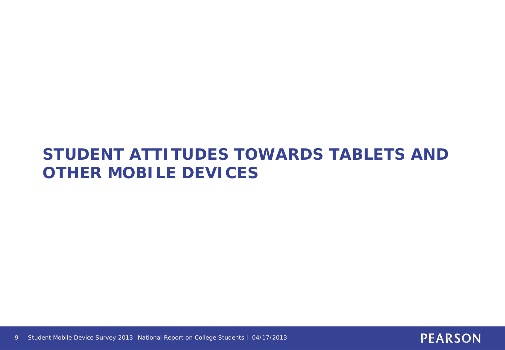### **STUDENT ATTITUDES TOWARDS TABLETS AND OTHER MOBILE DEVICES**

9 Student Mobile Device Survey 2013: National Report on College Students l 04/17/2013

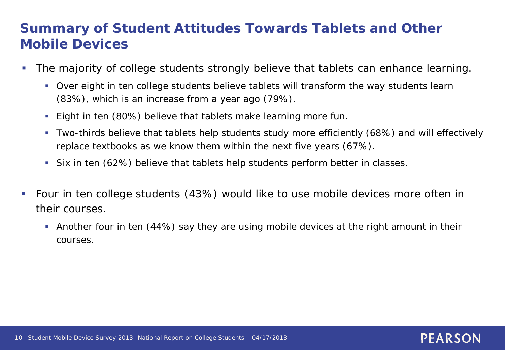### **Summary of Student Attitudes Towards Tablets and Other Mobile Devices**

- The majority of college students strongly believe that tablets can enhance learning.
	- Over eight in ten college students believe tablets will transform the way students learn (83%), which is an increase from a year ago (79%).
	- **Eight in ten (80%) believe that tablets make learning more fun.**
	- Two-thirds believe that tablets help students study more efficiently (68%) and will effectively replace textbooks as we know them within the next five years (67%).
	- Six in ten (62%) believe that tablets help students perform better in classes.
- Four in ten college students (43%) would like to use mobile devices more often in their courses.
	- Another four in ten (44%) say they are using mobile devices at the right amount in their courses.

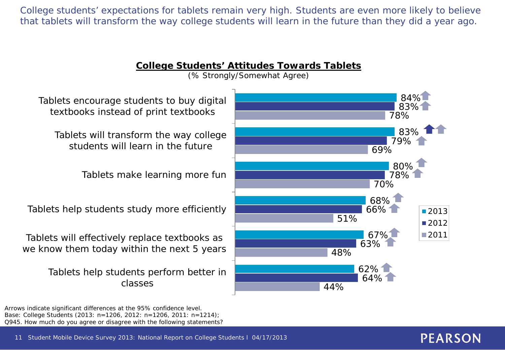College students' expectations for tablets remain very high. Students are even more likely to believe that tablets will transform the way college students will learn in the future than they did a year ago.



Arrows indicate significant differences at the 95% confidence level. Base: College Students (2013: n=1206, 2012: n=1206, 2011: n=1214); Q945. How much do you agree or disagree with the following statements?

11 Student Mobile Device Survey 2013: National Report on College Students l 04/17/2013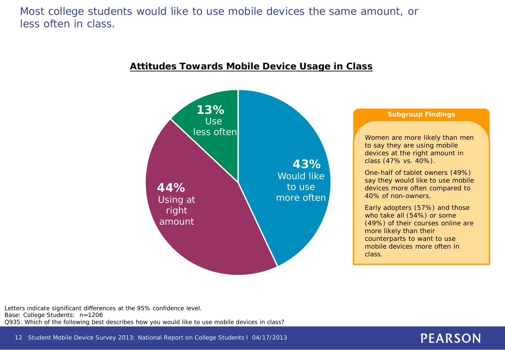Most college students would like to use mobile devices the same amount, or less often in class.



#### **Attitudes Towards Mobile Device Usage in Class**

Letters indicate significant differences at the 95% confidence level. Base: College Students: n=1206 Q935. Which of the following best describes how you would like to use mobile devices in class?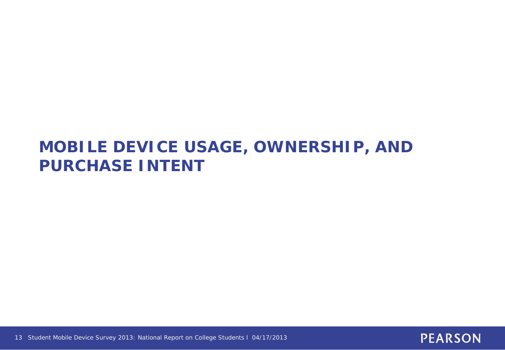### **MOBILE DEVICE USAGE, OWNERSHIP, AND PURCHASE INTENT**



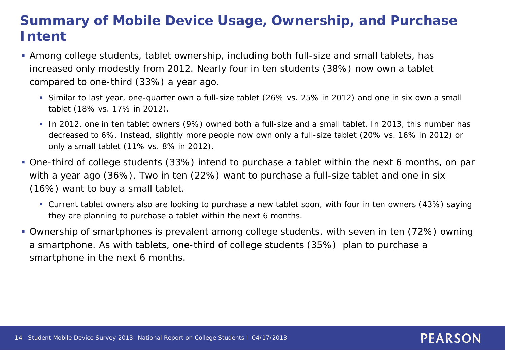### **Summary of Mobile Device Usage, Ownership, and Purchase Intent**

- Among college students, tablet ownership, including both full-size and small tablets, has increased only modestly from 2012. Nearly four in ten students (38%) now own a tablet compared to one-third (33%) a year ago.
	- Similar to last year, one-quarter own a full-size tablet (26% vs. 25% in 2012) and one in six own a small tablet (18% vs. 17% in 2012).
	- In 2012, one in ten tablet owners (9%) owned *both* a full-size and a small tablet. In 2013, this number has decreased to 6%. Instead, slightly more people now own *only* a full-size tablet (20% vs. 16% in 2012) or *only* a small tablet (11% vs. 8% in 2012).
- One-third of college students (33%) intend to purchase a tablet within the next 6 months, on par with a year ago (36%). Two in ten (22%) want to purchase a full-size tablet and one in six (16%) want to buy a small tablet.
	- Current tablet owners also are looking to purchase a new tablet soon, with four in ten owners (43%) saying they are planning to purchase a tablet within the next 6 months.

**PEARSON** 

 Ownership of smartphones is prevalent among college students, with seven in ten (72%) owning a smartphone. As with tablets, one-third of college students (35%) plan to purchase a smartphone in the next 6 months.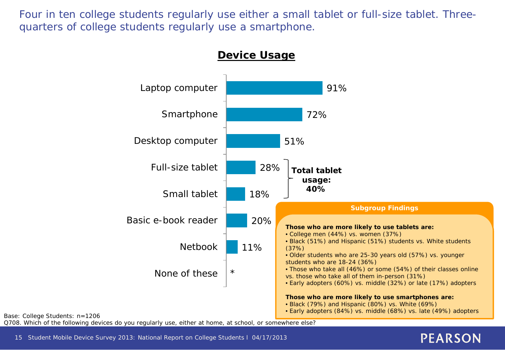Four in ten college students regularly use either a small tablet or full-size tablet. Threequarters of college students regularly use a smartphone.



15 Student Mobile Device Survey 2013: National Report on College Students l 04/17/2013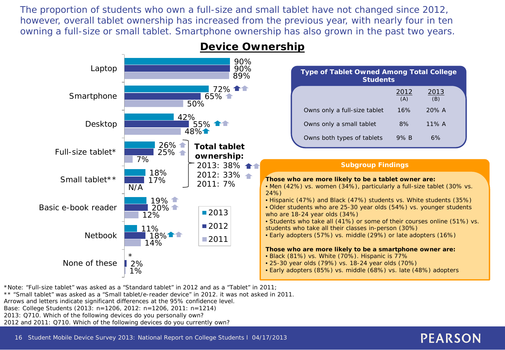The proportion of students who own a full-size and small tablet have not changed since 2012, however, overall tablet ownership has increased from the previous year, with nearly four in ten owning a full-size or small tablet. Smartphone ownership has also grown in the past two years.



#### **Device Ownership**

\*Note: "Full-size tablet" was asked as a "Standard tablet" in 2012 and as a "Tablet" in 2011;

\*\* "Small tablet" was asked as a "Small tablet/e-reader device" in 2012. it was not asked in 2011.

Arrows and letters indicate significant differences at the 95% confidence level.

Base: College Students (2013: n=1206, 2012: n=1206, 2011: n=1214)

2013: Q710. Which of the following devices do you personally own?

2012 and 2011: Q710. Which of the following devices do you currently own?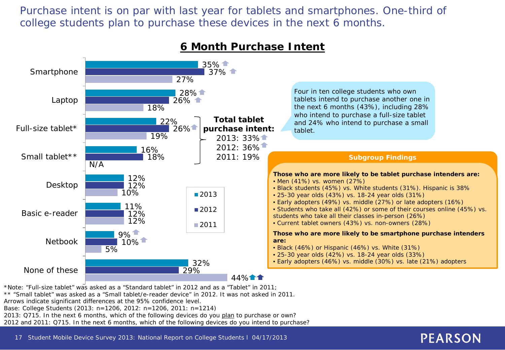Purchase intent is on par with last year for tablets and smartphones. One-third of college students plan to purchase these devices in the next 6 months.



#### **6 Month Purchase Intent**

\*Note: "Full-size tablet" was asked as a "Standard tablet" in 2012 and as a "Tablet" in 2011; \*\* "Small tablet" was asked as a "Small tablet/e-reader device" in 2012. It was not asked in 2011.

Arrows indicate significant differences at the 95% confidence level.

Base: College Students (2013: n=1206, 2012: n=1206, 2011: n=1214)

2013: Q715. In the next 6 months, which of the following devices do you plan to purchase or own?

2012 and 2011: Q715. In the next 6 months, which of the following devices do you intend to purchase?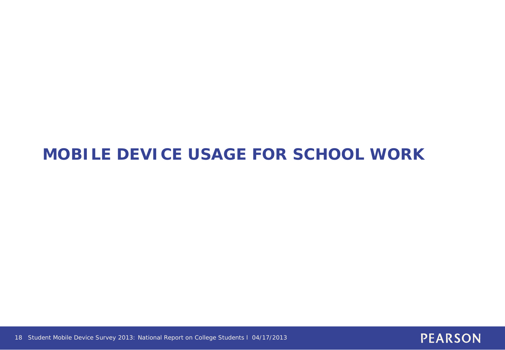## **MOBILE DEVICE USAGE FOR SCHOOL WORK**



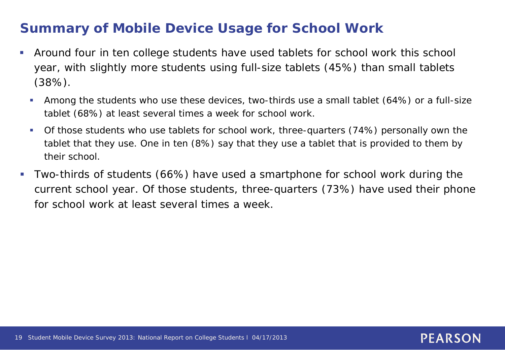### **Summary of Mobile Device Usage for School Work**

- Around four in ten college students have used tablets for school work this school year, with slightly more students using full-size tablets (45%) than small tablets (38%).
	- Among the students who use these devices, two-thirds use a small tablet (64%) or a full-size tablet (68%) at least several times a week for school work.
	- Of those students who use tablets for school work, three-quarters (74%) personally own the tablet that they use. One in ten (8%) say that they use a tablet that is provided to them by their school.
- Two-thirds of students (66%) have used a smartphone for school work during the current school year. Of those students, three-quarters (73%) have used their phone for school work at least several times a week.

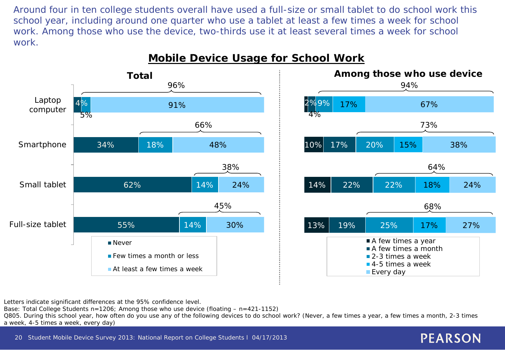Around four in ten college students overall have used a full-size or small tablet to do school work this school year, including around one quarter who use a tablet at least a few times a week for school work. Among those who use the device, two-thirds use it at least several times a week for school work.



#### **Mobile Device Usage for School Work**



**PEARSON** 

Letters indicate significant differences at the 95% confidence level.

Base: Total College Students  $n=1206$ ; Among those who use device (floating  $- n=421-1152$ )

Q805. During this school year, how often do you use any of the following devices to do school work? (Never, a few times a year, a few times a month, 2-3 times a week, 4-5 times a week, every day)

20 Student Mobile Device Survey 2013: National Report on College Students l 04/17/2013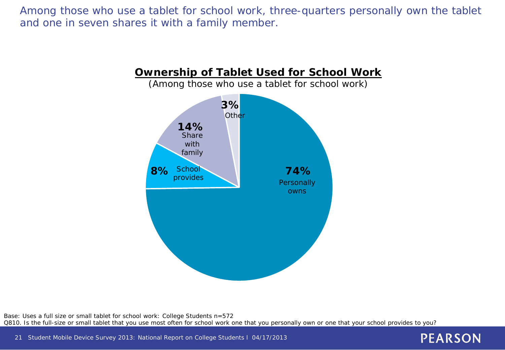Among those who use a tablet for school work, three-quarters personally own the tablet and one in seven shares it with a family member.



Base: Uses a full size or small tablet for school work: College Students n=572 Q810. Is the full-size or small tablet that you use most often for school work one that you personally own or one that your school provides to you?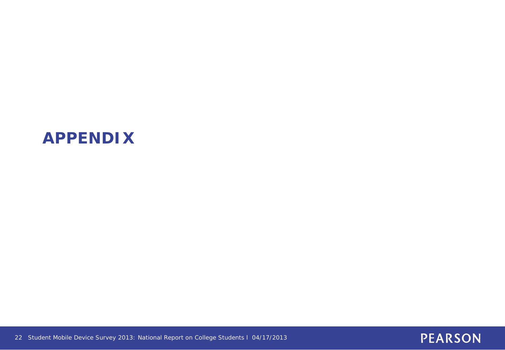### **APPENDIX**



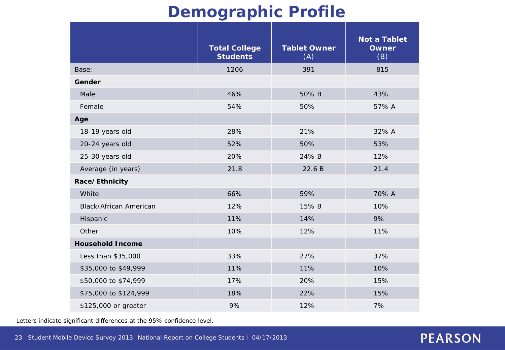### **Demographic Profile**

|                               | <b>Total College</b><br><b>Students</b> | <b>Tablet Owner</b><br>(A) | <b>Not a Tablet</b><br><b>Owner</b><br>(B) |
|-------------------------------|-----------------------------------------|----------------------------|--------------------------------------------|
| Base:                         | 1206                                    | 391                        | 815                                        |
| Gender                        |                                         |                            |                                            |
| Male                          | 46%                                     | 50% B                      | 43%                                        |
| Female                        | 54%                                     | 50%                        | 57% A                                      |
| Age                           |                                         |                            |                                            |
| 18-19 years old               | 28%                                     | 21%                        | 32% A                                      |
| 20-24 years old               | 52%                                     | 50%                        | 53%                                        |
| 25-30 years old               | 20%                                     | 24% B                      | 12%                                        |
| Average (in years)            | 21.8                                    | 22.6B                      | 21.4                                       |
| Race/Ethnicity                |                                         |                            |                                            |
| White                         | 66%                                     | 59%                        | 70% A                                      |
| <b>Black/African American</b> | 12%                                     | 15% B                      | 10%                                        |
| Hispanic                      | 11%                                     | 14%                        | 9%                                         |
| Other                         | 10%                                     | 12%                        | 11%                                        |
| <b>Household Income</b>       |                                         |                            |                                            |
| Less than \$35,000            | 33%                                     | 27%                        | 37%                                        |
| \$35,000 to \$49,999          | 11%                                     | 11%                        | 10%                                        |
| \$50,000 to \$74,999          | 17%                                     | 20%                        | 15%                                        |
| \$75,000 to \$124,999         | 18%                                     | 22%                        | 15%                                        |
| \$125,000 or greater          | 9%                                      | 12%                        | 7%                                         |

Letters indicate significant differences at the 95% confidence level.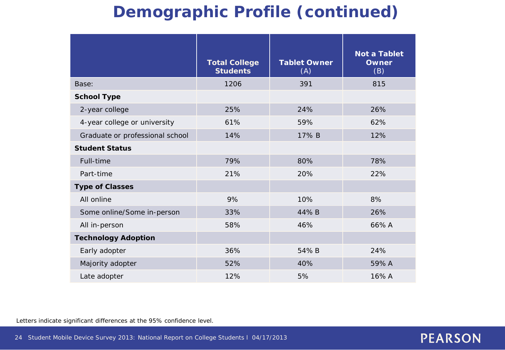## **Demographic Profile (continued)**

|                                 | <b>Total College</b><br><b>Students</b> | <b>Tablet Owner</b><br>(A) | <b>Not a Tablet</b><br><b>Owner</b><br>(B) |
|---------------------------------|-----------------------------------------|----------------------------|--------------------------------------------|
| Base:                           | 1206                                    | 391                        | 815                                        |
| <b>School Type</b>              |                                         |                            |                                            |
| 2-year college                  | 25%                                     | 24%                        | 26%                                        |
| 4-year college or university    | 61%                                     | 59%                        | 62%                                        |
| Graduate or professional school | 14%                                     | 17% B                      | 12%                                        |
| <b>Student Status</b>           |                                         |                            |                                            |
| Full-time                       | 79%                                     | 80%                        | 78%                                        |
| Part-time                       | 21%                                     | 20%                        | 22%                                        |
| <b>Type of Classes</b>          |                                         |                            |                                            |
| All online                      | 9%                                      | 10%                        | 8%                                         |
| Some online/Some in-person      | 33%                                     | 44%B                       | 26%                                        |
| All in-person                   | 58%                                     | 46%                        | 66% A                                      |
| <b>Technology Adoption</b>      |                                         |                            |                                            |
| Early adopter                   | 36%                                     | 54%B                       | 24%                                        |
| Majority adopter                | 52%                                     | 40%                        | 59% A                                      |
| Late adopter                    | 12%                                     | 5%                         | 16% A                                      |

Letters indicate significant differences at the 95% confidence level.